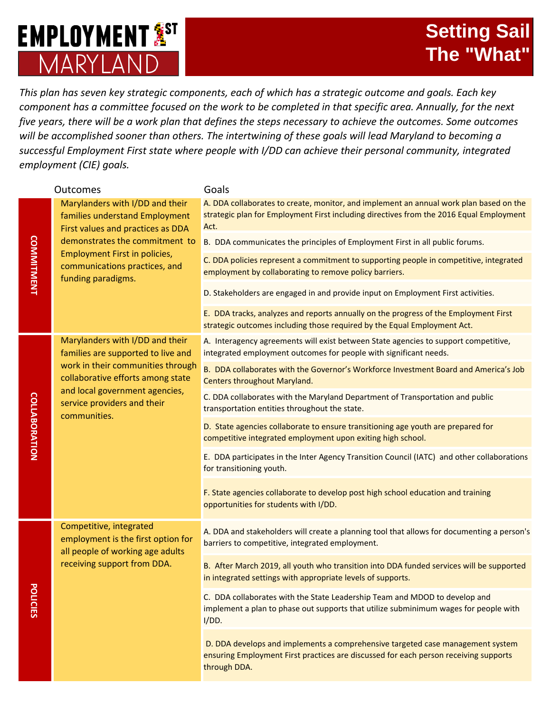## **EMPLOYMENT<sup>5</sup>**ST MARYI AND

*This plan has seven key strategic components, each of which has a strategic outcome and goals. Each key component has a committee focused on the work to be completed in that specific area. Annually, for the next five years, there will be a work plan that defines the steps necessary to achieve the outcomes. Some outcomes will be accomplished sooner than others. The intertwining of these goals will lead Maryland to becoming a successful Employment First state where people with I/DD can achieve their personal community, integrated employment (CIE) goals.* 

| <b>Outcomes</b>      |                                                                                                                                                                                                                                  | Goals                                                                                                                                                                                     |
|----------------------|----------------------------------------------------------------------------------------------------------------------------------------------------------------------------------------------------------------------------------|-------------------------------------------------------------------------------------------------------------------------------------------------------------------------------------------|
| <b>COMMITMENT</b>    | Marylanders with I/DD and their<br>families understand Employment<br>First values and practices as DDA<br>demonstrates the commitment to<br>Employment First in policies,<br>communications practices, and<br>funding paradigms. | A. DDA collaborates to create, monitor, and implement an annual work plan based on the<br>strategic plan for Employment First including directives from the 2016 Equal Employment<br>Act. |
|                      |                                                                                                                                                                                                                                  | B. DDA communicates the principles of Employment First in all public forums.                                                                                                              |
|                      |                                                                                                                                                                                                                                  | C. DDA policies represent a commitment to supporting people in competitive, integrated<br>employment by collaborating to remove policy barriers.                                          |
|                      |                                                                                                                                                                                                                                  | D. Stakeholders are engaged in and provide input on Employment First activities.                                                                                                          |
|                      |                                                                                                                                                                                                                                  | E. DDA tracks, analyzes and reports annually on the progress of the Employment First<br>strategic outcomes including those required by the Equal Employment Act.                          |
| <b>COLLABORATION</b> | Marylanders with I/DD and their<br>families are supported to live and<br>work in their communities through<br>collaborative efforts among state<br>and local government agencies,<br>service providers and their<br>communities. | A. Interagency agreements will exist between State agencies to support competitive,<br>integrated employment outcomes for people with significant needs.                                  |
|                      |                                                                                                                                                                                                                                  | B. DDA collaborates with the Governor's Workforce Investment Board and America's Job<br><b>Centers throughout Maryland.</b>                                                               |
|                      |                                                                                                                                                                                                                                  | C. DDA collaborates with the Maryland Department of Transportation and public<br>transportation entities throughout the state.                                                            |
|                      |                                                                                                                                                                                                                                  | D. State agencies collaborate to ensure transitioning age youth are prepared for<br>competitive integrated employment upon exiting high school.                                           |
|                      |                                                                                                                                                                                                                                  | E. DDA participates in the Inter Agency Transition Council (IATC) and other collaborations<br>for transitioning youth.                                                                    |
|                      |                                                                                                                                                                                                                                  | F. State agencies collaborate to develop post high school education and training<br>opportunities for students with I/DD.                                                                 |
| ъ.<br>OLICIES        | Competitive, integrated<br>employment is the first option for<br>all people of working age adults<br>receiving support from DDA.                                                                                                 | A. DDA and stakeholders will create a planning tool that allows for documenting a person's<br>barriers to competitive, integrated employment.                                             |
|                      |                                                                                                                                                                                                                                  | B. After March 2019, all youth who transition into DDA funded services will be supported<br>in integrated settings with appropriate levels of supports.                                   |
|                      |                                                                                                                                                                                                                                  | C. DDA collaborates with the State Leadership Team and MDOD to develop and<br>implement a plan to phase out supports that utilize subminimum wages for people with<br>I/DD.               |
|                      |                                                                                                                                                                                                                                  | D. DDA develops and implements a comprehensive targeted case management system<br>ensuring Employment First practices are discussed for each person receiving supports<br>through DDA.    |